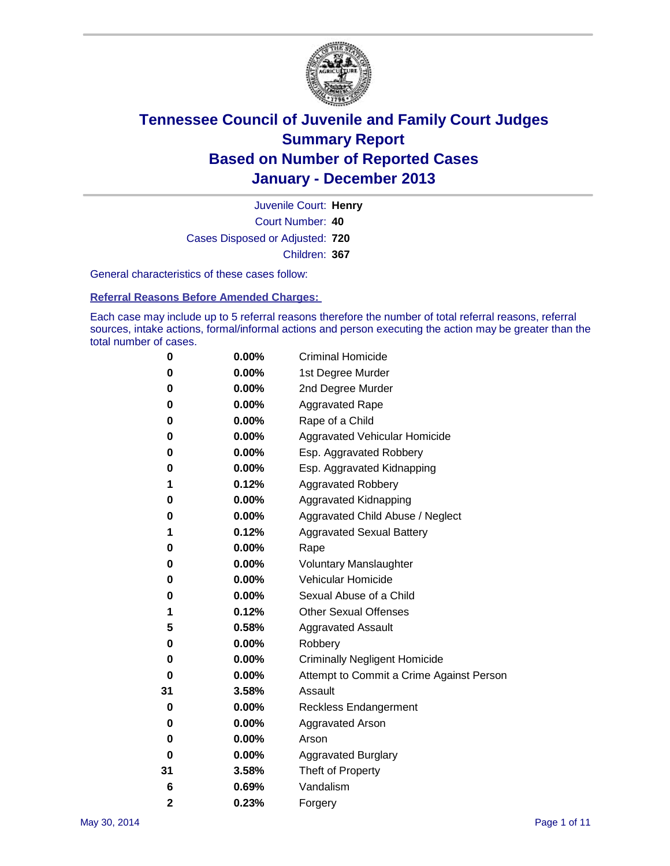

Court Number: **40** Juvenile Court: **Henry** Cases Disposed or Adjusted: **720** Children: **367**

General characteristics of these cases follow:

**Referral Reasons Before Amended Charges:** 

Each case may include up to 5 referral reasons therefore the number of total referral reasons, referral sources, intake actions, formal/informal actions and person executing the action may be greater than the total number of cases.

| 0              | $0.00\%$ | <b>Criminal Homicide</b>                 |
|----------------|----------|------------------------------------------|
| 0              | 0.00%    | 1st Degree Murder                        |
| 0              | 0.00%    | 2nd Degree Murder                        |
| 0              | $0.00\%$ | <b>Aggravated Rape</b>                   |
| 0              | 0.00%    | Rape of a Child                          |
| 0              | 0.00%    | <b>Aggravated Vehicular Homicide</b>     |
| 0              | $0.00\%$ | Esp. Aggravated Robbery                  |
| 0              | 0.00%    | Esp. Aggravated Kidnapping               |
| 1              | 0.12%    | <b>Aggravated Robbery</b>                |
| 0              | 0.00%    | Aggravated Kidnapping                    |
| 0              | 0.00%    | Aggravated Child Abuse / Neglect         |
| 1              | 0.12%    | <b>Aggravated Sexual Battery</b>         |
| 0              | 0.00%    | Rape                                     |
| 0              | 0.00%    | <b>Voluntary Manslaughter</b>            |
| 0              | 0.00%    | Vehicular Homicide                       |
| 0              | 0.00%    | Sexual Abuse of a Child                  |
| 1              | 0.12%    | <b>Other Sexual Offenses</b>             |
| 5              | 0.58%    | <b>Aggravated Assault</b>                |
| 0              | 0.00%    | Robbery                                  |
| 0              | 0.00%    | <b>Criminally Negligent Homicide</b>     |
| 0              | 0.00%    | Attempt to Commit a Crime Against Person |
| 31             | 3.58%    | Assault                                  |
| 0              | 0.00%    | <b>Reckless Endangerment</b>             |
| 0              | 0.00%    | <b>Aggravated Arson</b>                  |
| 0              | 0.00%    | Arson                                    |
| 0              | 0.00%    | <b>Aggravated Burglary</b>               |
| 31             | 3.58%    | Theft of Property                        |
| 6              | 0.69%    | Vandalism                                |
| $\overline{2}$ | 0.23%    | Forgery                                  |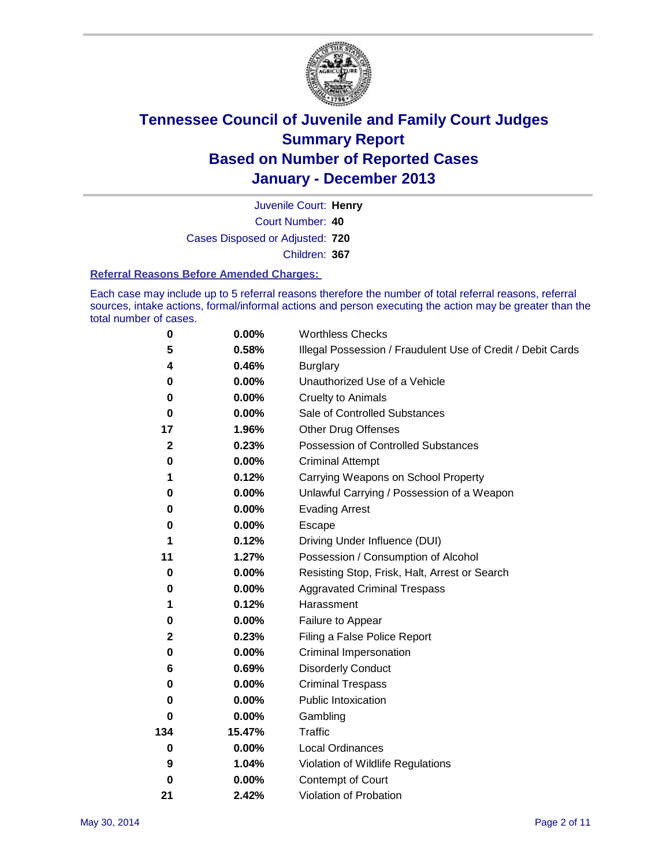

Court Number: **40** Juvenile Court: **Henry** Cases Disposed or Adjusted: **720** Children: **367**

#### **Referral Reasons Before Amended Charges:**

Each case may include up to 5 referral reasons therefore the number of total referral reasons, referral sources, intake actions, formal/informal actions and person executing the action may be greater than the total number of cases.

| 0            | 0.00%    | <b>Worthless Checks</b>                                     |
|--------------|----------|-------------------------------------------------------------|
| 5            | 0.58%    | Illegal Possession / Fraudulent Use of Credit / Debit Cards |
| 4            | 0.46%    | <b>Burglary</b>                                             |
| 0            | 0.00%    | Unauthorized Use of a Vehicle                               |
| 0            | 0.00%    | <b>Cruelty to Animals</b>                                   |
| 0            | $0.00\%$ | Sale of Controlled Substances                               |
| 17           | 1.96%    | <b>Other Drug Offenses</b>                                  |
| $\mathbf{2}$ | 0.23%    | <b>Possession of Controlled Substances</b>                  |
| 0            | 0.00%    | <b>Criminal Attempt</b>                                     |
| 1            | 0.12%    | Carrying Weapons on School Property                         |
| 0            | 0.00%    | Unlawful Carrying / Possession of a Weapon                  |
| 0            | 0.00%    | <b>Evading Arrest</b>                                       |
| 0            | 0.00%    | Escape                                                      |
| 1            | 0.12%    | Driving Under Influence (DUI)                               |
| 11           | 1.27%    | Possession / Consumption of Alcohol                         |
| 0            | 0.00%    | Resisting Stop, Frisk, Halt, Arrest or Search               |
| 0            | 0.00%    | <b>Aggravated Criminal Trespass</b>                         |
| 1            | 0.12%    | Harassment                                                  |
| 0            | 0.00%    | Failure to Appear                                           |
| 2            | 0.23%    | Filing a False Police Report                                |
| $\bf{0}$     | 0.00%    | Criminal Impersonation                                      |
| 6            | 0.69%    | <b>Disorderly Conduct</b>                                   |
| 0            | 0.00%    | <b>Criminal Trespass</b>                                    |
| 0            | $0.00\%$ | <b>Public Intoxication</b>                                  |
| 0            | 0.00%    | Gambling                                                    |
| 134          | 15.47%   | Traffic                                                     |
| 0            | $0.00\%$ | <b>Local Ordinances</b>                                     |
| 9            | 1.04%    | Violation of Wildlife Regulations                           |
| 0            | 0.00%    | Contempt of Court                                           |
| 21           | 2.42%    | Violation of Probation                                      |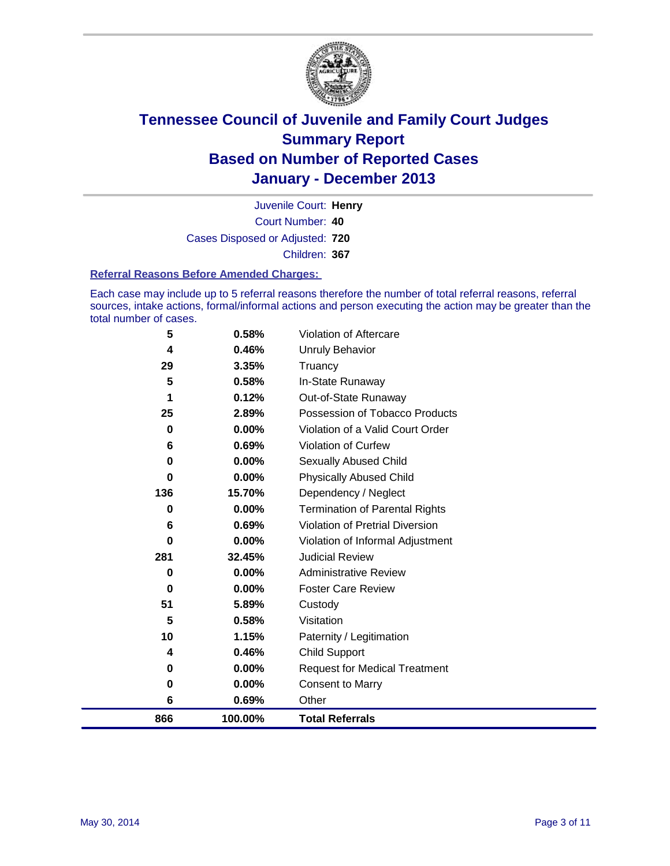

Court Number: **40** Juvenile Court: **Henry** Cases Disposed or Adjusted: **720** Children: **367**

#### **Referral Reasons Before Amended Charges:**

Each case may include up to 5 referral reasons therefore the number of total referral reasons, referral sources, intake actions, formal/informal actions and person executing the action may be greater than the total number of cases.

| 866      | 100.00%        | <b>Total Referrals</b>                 |
|----------|----------------|----------------------------------------|
| 6        | 0.69%          | Other                                  |
| 0        | 0.00%          | <b>Consent to Marry</b>                |
| 0        | 0.00%          | <b>Request for Medical Treatment</b>   |
| 4        | 0.46%          | Child Support                          |
| 10       | 1.15%          | Paternity / Legitimation               |
| 5        | 0.58%          | Visitation                             |
| 51       | 5.89%          | Custody                                |
| $\bf{0}$ | 0.00%          | <b>Foster Care Review</b>              |
| $\bf{0}$ | 0.00%          | <b>Administrative Review</b>           |
| 281      | 32.45%         | <b>Judicial Review</b>                 |
| 0        | 0.00%          | Violation of Informal Adjustment       |
| 6        | 0.69%          | <b>Violation of Pretrial Diversion</b> |
| $\bf{0}$ | 0.00%          | <b>Termination of Parental Rights</b>  |
| 136      | 15.70%         | Dependency / Neglect                   |
| $\bf{0}$ | 0.00%          | <b>Physically Abused Child</b>         |
| 0        | $0.00\%$       | Sexually Abused Child                  |
| 6        | 0.69%          | Violation of Curfew                    |
| $\bf{0}$ | $0.00\%$       | Violation of a Valid Court Order       |
| 25       | 2.89%          | Possession of Tobacco Products         |
| 1        | 0.12%          | Out-of-State Runaway                   |
| 5        | 0.58%          | Truancy<br>In-State Runaway            |
| 4<br>29  | 0.46%<br>3.35% | <b>Unruly Behavior</b>                 |
|          |                |                                        |
| 5        | 0.58%          | Violation of Aftercare                 |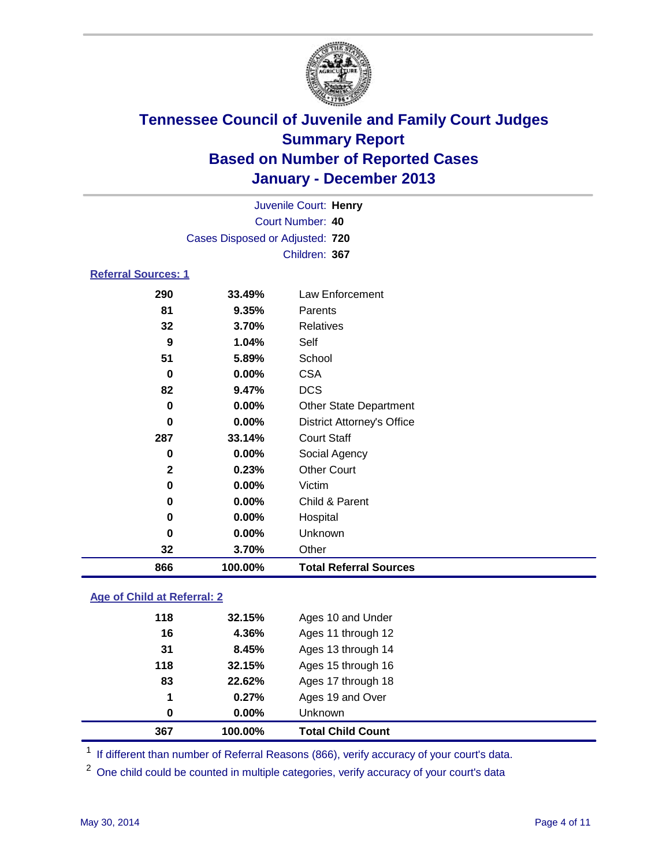

|                            |                                 | Juvenile Court: Henry             |
|----------------------------|---------------------------------|-----------------------------------|
|                            |                                 | Court Number: 40                  |
|                            | Cases Disposed or Adjusted: 720 |                                   |
|                            |                                 | Children: 367                     |
| <b>Referral Sources: 1</b> |                                 |                                   |
| 290                        | 33.49%                          | Law Enforcement                   |
| 81                         | 9.35%                           | Parents                           |
| 32                         | 3.70%                           | <b>Relatives</b>                  |
| 9                          | 1.04%                           | Self                              |
| 51                         | 5.89%                           | School                            |
| 0                          | 0.00%                           | <b>CSA</b>                        |
| 82                         | 9.47%                           | <b>DCS</b>                        |
| $\bf{0}$                   | 0.00%                           | <b>Other State Department</b>     |
| 0                          | 0.00%                           | <b>District Attorney's Office</b> |
| 287                        | 33.14%                          | <b>Court Staff</b>                |
| 0                          | 0.00%                           | Social Agency                     |
| $\mathbf{2}$               | 0.23%                           | <b>Other Court</b>                |
| 0                          | 0.00%                           | Victim                            |
| 0                          | 0.00%                           | Child & Parent                    |
| 0                          | 0.00%                           | Hospital                          |
| 0                          | $0.00\%$                        | Unknown                           |
| 32                         | 3.70%                           | Other                             |
| 866                        | 100.00%                         | <b>Total Referral Sources</b>     |

### **Age of Child at Referral: 2**

| 0   | 0.00%  | <b>Unknown</b>     |
|-----|--------|--------------------|
| 1   | 0.27%  | Ages 19 and Over   |
| 83  | 22.62% | Ages 17 through 18 |
| 118 | 32.15% | Ages 15 through 16 |
| 31  | 8.45%  | Ages 13 through 14 |
| 16  | 4.36%  | Ages 11 through 12 |
| 118 | 32.15% | Ages 10 and Under  |
|     |        |                    |

<sup>1</sup> If different than number of Referral Reasons (866), verify accuracy of your court's data.

<sup>2</sup> One child could be counted in multiple categories, verify accuracy of your court's data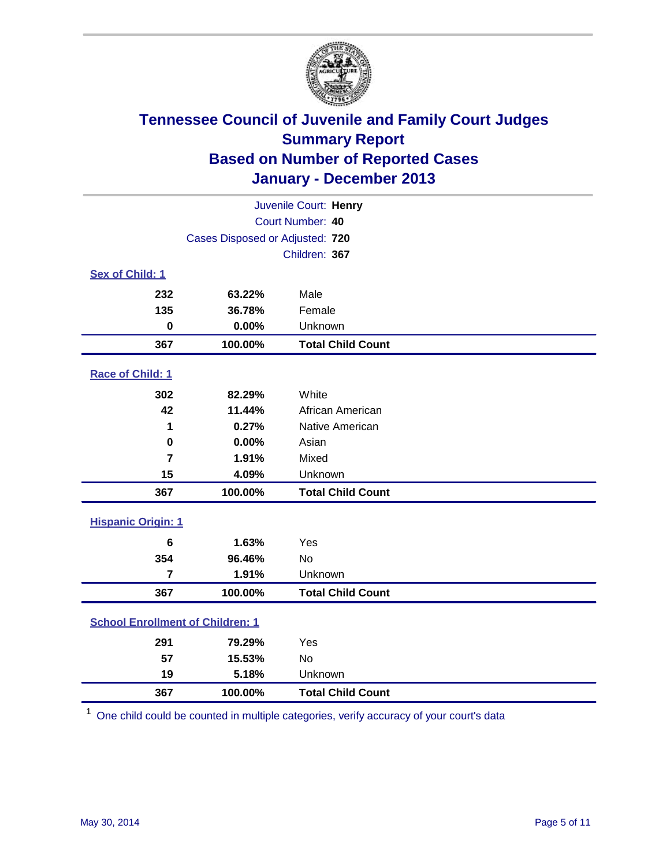

| Juvenile Court: Henry                   |                                 |                          |  |  |
|-----------------------------------------|---------------------------------|--------------------------|--|--|
|                                         | Court Number: 40                |                          |  |  |
|                                         | Cases Disposed or Adjusted: 720 |                          |  |  |
|                                         |                                 | Children: 367            |  |  |
| Sex of Child: 1                         |                                 |                          |  |  |
| 232                                     | 63.22%                          | Male                     |  |  |
| 135                                     | 36.78%                          | Female                   |  |  |
| $\bf{0}$                                | 0.00%                           | Unknown                  |  |  |
| 367                                     | 100.00%                         | <b>Total Child Count</b> |  |  |
| Race of Child: 1                        |                                 |                          |  |  |
| 302                                     | 82.29%                          | White                    |  |  |
| 42                                      | 11.44%                          | African American         |  |  |
| 1                                       | 0.27%                           | Native American          |  |  |
| $\mathbf 0$                             | 0.00%                           | Asian                    |  |  |
| $\overline{7}$                          | 1.91%                           | Mixed                    |  |  |
| 15                                      | 4.09%                           | Unknown                  |  |  |
| 367                                     | 100.00%                         | <b>Total Child Count</b> |  |  |
| <b>Hispanic Origin: 1</b>               |                                 |                          |  |  |
| $6\phantom{1}6$                         | 1.63%                           | Yes                      |  |  |
| 354                                     | 96.46%                          | <b>No</b>                |  |  |
| $\overline{7}$                          | 1.91%                           | Unknown                  |  |  |
| 367                                     | 100.00%                         | <b>Total Child Count</b> |  |  |
| <b>School Enrollment of Children: 1</b> |                                 |                          |  |  |
| 291                                     | 79.29%                          | Yes                      |  |  |
| 57                                      | 15.53%                          | <b>No</b>                |  |  |
| 19                                      | 5.18%                           | Unknown                  |  |  |
| 367                                     | 100.00%                         | <b>Total Child Count</b> |  |  |

One child could be counted in multiple categories, verify accuracy of your court's data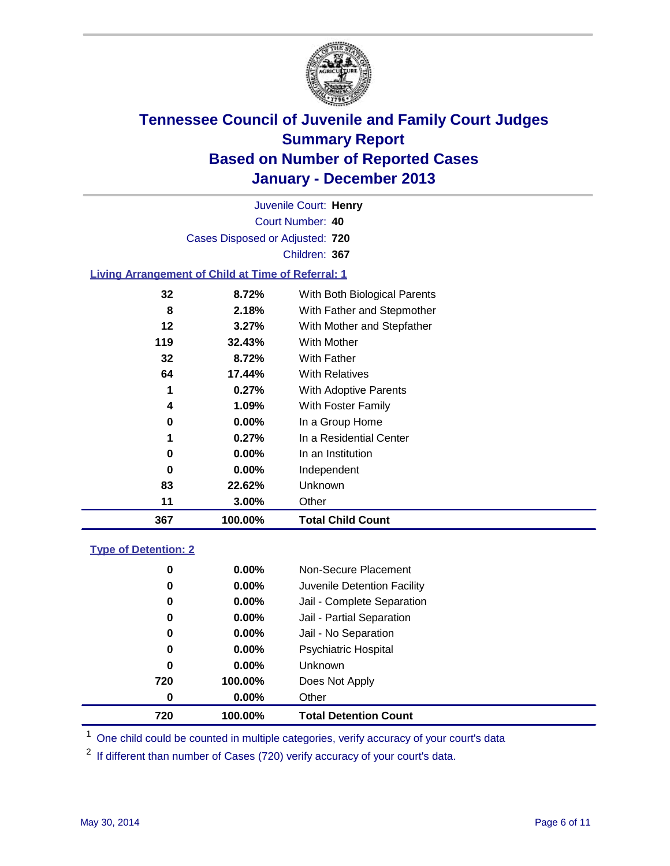

Court Number: **40** Juvenile Court: **Henry** Cases Disposed or Adjusted: **720** Children: **367**

### **Living Arrangement of Child at Time of Referral: 1**

| 367 | 100.00%  | <b>Total Child Count</b>     |
|-----|----------|------------------------------|
| 11  | 3.00%    | Other                        |
| 83  | 22.62%   | Unknown                      |
| 0   | 0.00%    | Independent                  |
| 0   | $0.00\%$ | In an Institution            |
| 1   | 0.27%    | In a Residential Center      |
| 0   | 0.00%    | In a Group Home              |
| 4   | 1.09%    | With Foster Family           |
| 1   | 0.27%    | <b>With Adoptive Parents</b> |
| 64  | 17.44%   | <b>With Relatives</b>        |
| 32  | 8.72%    | With Father                  |
| 119 | 32.43%   | With Mother                  |
| 12  | 3.27%    | With Mother and Stepfather   |
| 8   | 2.18%    | With Father and Stepmother   |
| 32  | 8.72%    | With Both Biological Parents |
|     |          |                              |

#### **Type of Detention: 2**

| 720 | 100.00%  | <b>Total Detention Count</b> |  |
|-----|----------|------------------------------|--|
| 0   | $0.00\%$ | Other                        |  |
| 720 | 100.00%  | Does Not Apply               |  |
| 0   | $0.00\%$ | <b>Unknown</b>               |  |
| 0   | $0.00\%$ | <b>Psychiatric Hospital</b>  |  |
| 0   | 0.00%    | Jail - No Separation         |  |
| 0   | $0.00\%$ | Jail - Partial Separation    |  |
| 0   | 0.00%    | Jail - Complete Separation   |  |
| 0   | $0.00\%$ | Juvenile Detention Facility  |  |
| 0   | 0.00%    | Non-Secure Placement         |  |
|     |          |                              |  |

<sup>1</sup> One child could be counted in multiple categories, verify accuracy of your court's data

<sup>2</sup> If different than number of Cases (720) verify accuracy of your court's data.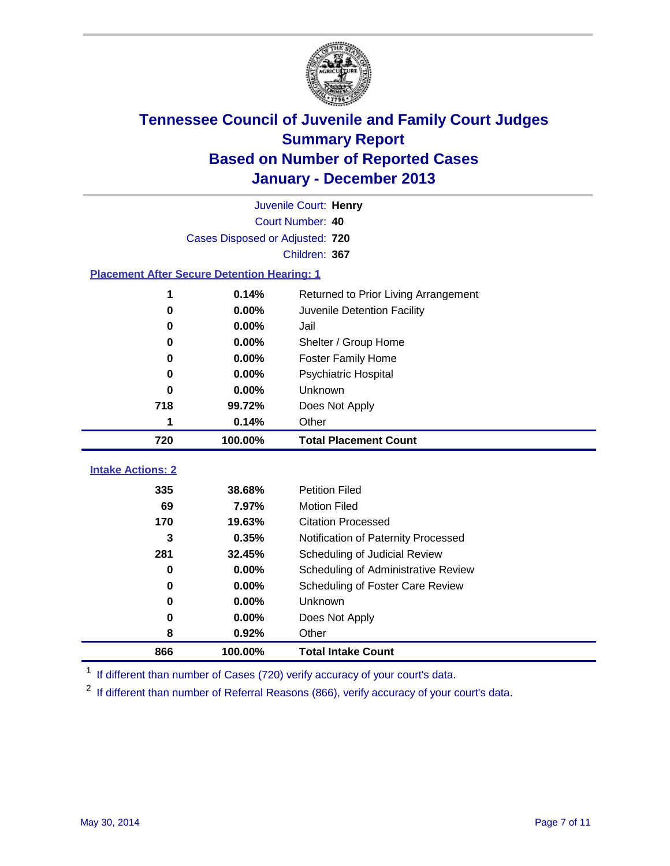

|                                                    |                                 | Juvenile Court: Henry                |
|----------------------------------------------------|---------------------------------|--------------------------------------|
|                                                    |                                 | Court Number: 40                     |
|                                                    | Cases Disposed or Adjusted: 720 |                                      |
|                                                    |                                 | Children: 367                        |
| <b>Placement After Secure Detention Hearing: 1</b> |                                 |                                      |
| 1                                                  | 0.14%                           | Returned to Prior Living Arrangement |
| $\bf{0}$                                           | 0.00%                           | Juvenile Detention Facility          |
| $\bf{0}$                                           | 0.00%                           | Jail                                 |
| 0                                                  | 0.00%                           | Shelter / Group Home                 |
| 0                                                  | 0.00%                           | <b>Foster Family Home</b>            |
| 0                                                  | 0.00%                           | <b>Psychiatric Hospital</b>          |
| 0                                                  | 0.00%                           | Unknown                              |
| 718                                                | 99.72%                          | Does Not Apply                       |
| 1                                                  | 0.14%                           | Other                                |
| 720                                                | 100.00%                         | <b>Total Placement Count</b>         |
| <b>Intake Actions: 2</b>                           |                                 |                                      |
|                                                    |                                 |                                      |
| 335                                                | 38.68%                          | <b>Petition Filed</b>                |
| 69                                                 | 7.97%                           | <b>Motion Filed</b>                  |
| 170                                                | 19.63%                          | <b>Citation Processed</b>            |
| 3                                                  | 0.35%                           | Notification of Paternity Processed  |
| 281                                                | 32.45%                          | Scheduling of Judicial Review        |
| 0                                                  | 0.00%                           | Scheduling of Administrative Review  |
| 0                                                  | 0.00%                           | Scheduling of Foster Care Review     |
| $\bf{0}$                                           | 0.00%                           | Unknown                              |
| 0                                                  | 0.00%                           | Does Not Apply                       |
| 8                                                  | 0.92%                           | Other                                |
| 866                                                | 100.00%                         | <b>Total Intake Count</b>            |

<sup>1</sup> If different than number of Cases (720) verify accuracy of your court's data.

<sup>2</sup> If different than number of Referral Reasons (866), verify accuracy of your court's data.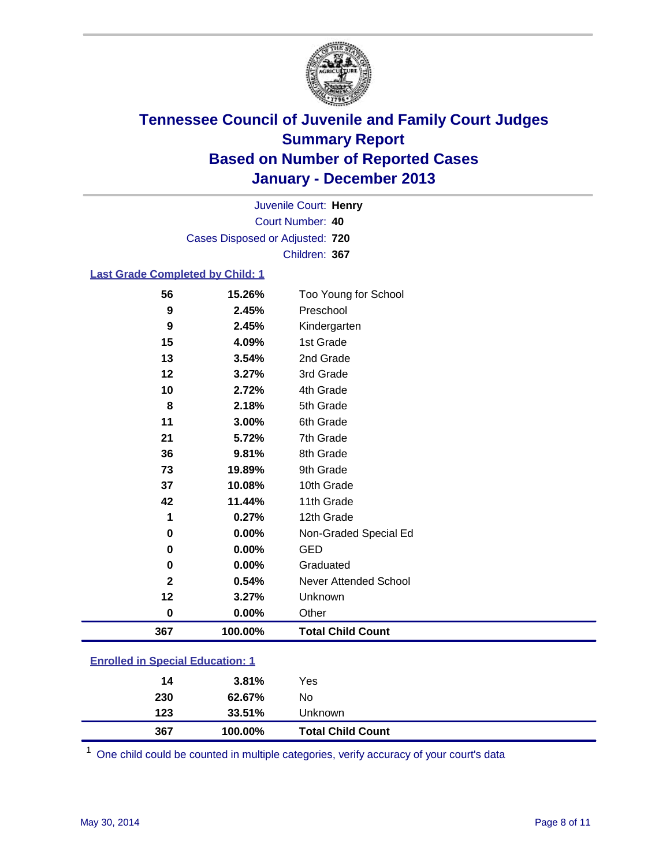

Court Number: **40** Juvenile Court: **Henry** Cases Disposed or Adjusted: **720** Children: **367**

#### **Last Grade Completed by Child: 1**

| 56           | 15.26%  | Too Young for School     |
|--------------|---------|--------------------------|
| 9            | 2.45%   | Preschool                |
| 9            | 2.45%   | Kindergarten             |
| 15           | 4.09%   | 1st Grade                |
| 13           | 3.54%   | 2nd Grade                |
| 12           | 3.27%   | 3rd Grade                |
| 10           | 2.72%   | 4th Grade                |
| 8            | 2.18%   | 5th Grade                |
| 11           | 3.00%   | 6th Grade                |
| 21           | 5.72%   | 7th Grade                |
| 36           | 9.81%   | 8th Grade                |
| 73           | 19.89%  | 9th Grade                |
| 37           | 10.08%  | 10th Grade               |
| 42           | 11.44%  | 11th Grade               |
| 1            | 0.27%   | 12th Grade               |
| 0            | 0.00%   | Non-Graded Special Ed    |
| 0            | 0.00%   | <b>GED</b>               |
| 0            | 0.00%   | Graduated                |
| $\mathbf{2}$ | 0.54%   | Never Attended School    |
| 12           | 3.27%   | Unknown                  |
| $\bf{0}$     | 0.00%   | Other                    |
| 367          | 100.00% | <b>Total Child Count</b> |

| <b>Enrolled in Special Education: 1</b> |  |                             |  |  |
|-----------------------------------------|--|-----------------------------|--|--|
|                                         |  | $\sim$ $\sim$ $\sim$ $\sim$ |  |  |

| 367 | 100.00%  | <b>Total Child Count</b> |  |
|-----|----------|--------------------------|--|
| 123 | 33.51%   | Unknown                  |  |
| 230 | 62.67%   | No                       |  |
| 14  | $3.81\%$ | Yes                      |  |

One child could be counted in multiple categories, verify accuracy of your court's data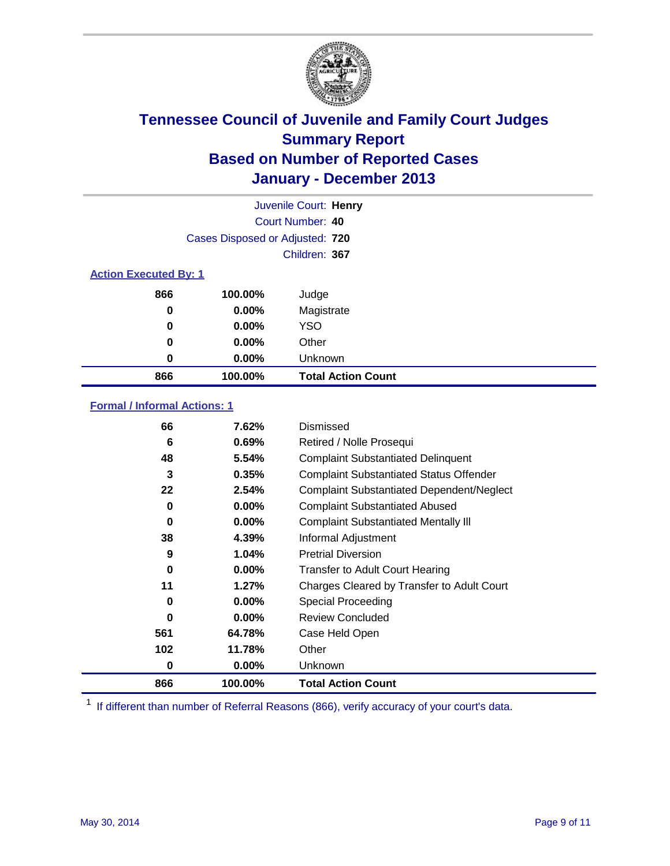

|                              |                                 | Juvenile Court: Henry     |
|------------------------------|---------------------------------|---------------------------|
|                              |                                 | Court Number: 40          |
|                              | Cases Disposed or Adjusted: 720 |                           |
|                              |                                 | Children: 367             |
| <b>Action Executed By: 1</b> |                                 |                           |
| 866                          | 100.00%                         | Judge                     |
| 0                            | $0.00\%$                        | Magistrate                |
| 0                            | $0.00\%$                        | <b>YSO</b>                |
| 0                            | $0.00\%$                        | Other                     |
| 0                            | $0.00\%$                        | Unknown                   |
| 866                          | 100.00%                         | <b>Total Action Count</b> |

### **Formal / Informal Actions: 1**

| 66       | 7.62%    | Dismissed                                        |
|----------|----------|--------------------------------------------------|
| 6        | 0.69%    | Retired / Nolle Prosequi                         |
| 48       | 5.54%    | <b>Complaint Substantiated Delinquent</b>        |
| 3        | 0.35%    | <b>Complaint Substantiated Status Offender</b>   |
| 22       | 2.54%    | <b>Complaint Substantiated Dependent/Neglect</b> |
| 0        | $0.00\%$ | <b>Complaint Substantiated Abused</b>            |
| 0        | $0.00\%$ | <b>Complaint Substantiated Mentally III</b>      |
| 38       | 4.39%    | Informal Adjustment                              |
| 9        | 1.04%    | <b>Pretrial Diversion</b>                        |
| 0        | $0.00\%$ | <b>Transfer to Adult Court Hearing</b>           |
| 11       | 1.27%    | Charges Cleared by Transfer to Adult Court       |
| 0        | $0.00\%$ | Special Proceeding                               |
| $\bf{0}$ | $0.00\%$ | <b>Review Concluded</b>                          |
| 561      | 64.78%   | Case Held Open                                   |
| 102      | 11.78%   | Other                                            |
| 0        | $0.00\%$ | Unknown                                          |
| 866      | 100.00%  | <b>Total Action Count</b>                        |

<sup>1</sup> If different than number of Referral Reasons (866), verify accuracy of your court's data.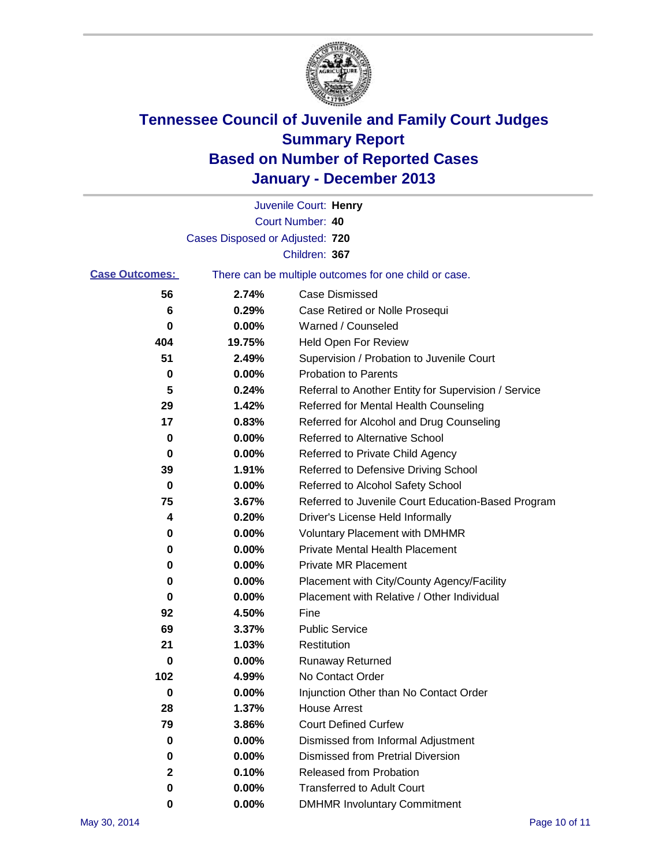

|                       |                                 | Juvenile Court: Henry                                 |
|-----------------------|---------------------------------|-------------------------------------------------------|
|                       |                                 | Court Number: 40                                      |
|                       | Cases Disposed or Adjusted: 720 |                                                       |
|                       |                                 | Children: 367                                         |
| <b>Case Outcomes:</b> |                                 | There can be multiple outcomes for one child or case. |
| 56                    | 2.74%                           | Case Dismissed                                        |
| 6                     | 0.29%                           | Case Retired or Nolle Prosequi                        |
| 0                     | 0.00%                           | Warned / Counseled                                    |
| 404                   | 19.75%                          | Held Open For Review                                  |
| 51                    | 2.49%                           | Supervision / Probation to Juvenile Court             |
| 0                     | 0.00%                           | <b>Probation to Parents</b>                           |
| 5                     | 0.24%                           | Referral to Another Entity for Supervision / Service  |
| 29                    | 1.42%                           | Referred for Mental Health Counseling                 |
| 17                    | 0.83%                           | Referred for Alcohol and Drug Counseling              |
| 0                     | 0.00%                           | <b>Referred to Alternative School</b>                 |
| 0                     | 0.00%                           | Referred to Private Child Agency                      |
| 39                    | 1.91%                           | Referred to Defensive Driving School                  |
| 0                     | 0.00%                           | Referred to Alcohol Safety School                     |
| 75                    | 3.67%                           | Referred to Juvenile Court Education-Based Program    |
| 4                     | 0.20%                           | Driver's License Held Informally                      |
| 0                     | 0.00%                           | <b>Voluntary Placement with DMHMR</b>                 |
| 0                     | 0.00%                           | <b>Private Mental Health Placement</b>                |
| 0                     | 0.00%                           | <b>Private MR Placement</b>                           |
| 0                     | 0.00%                           | Placement with City/County Agency/Facility            |
| 0                     | 0.00%                           | Placement with Relative / Other Individual            |
| 92                    | 4.50%                           | Fine                                                  |
| 69                    | 3.37%                           | <b>Public Service</b>                                 |
| 21                    | 1.03%                           | Restitution                                           |
| 0                     | 0.00%                           | <b>Runaway Returned</b>                               |
| 102                   | 4.99%                           | No Contact Order                                      |
| 0                     | 0.00%                           | Injunction Other than No Contact Order                |
| 28                    | 1.37%                           | <b>House Arrest</b>                                   |
| 79                    | 3.86%                           | <b>Court Defined Curfew</b>                           |
| 0                     | 0.00%                           | Dismissed from Informal Adjustment                    |
| 0                     | 0.00%                           | <b>Dismissed from Pretrial Diversion</b>              |
| $\mathbf 2$           | 0.10%                           | Released from Probation                               |
| 0                     | 0.00%                           | <b>Transferred to Adult Court</b>                     |
| 0                     | $0.00\%$                        | <b>DMHMR Involuntary Commitment</b>                   |